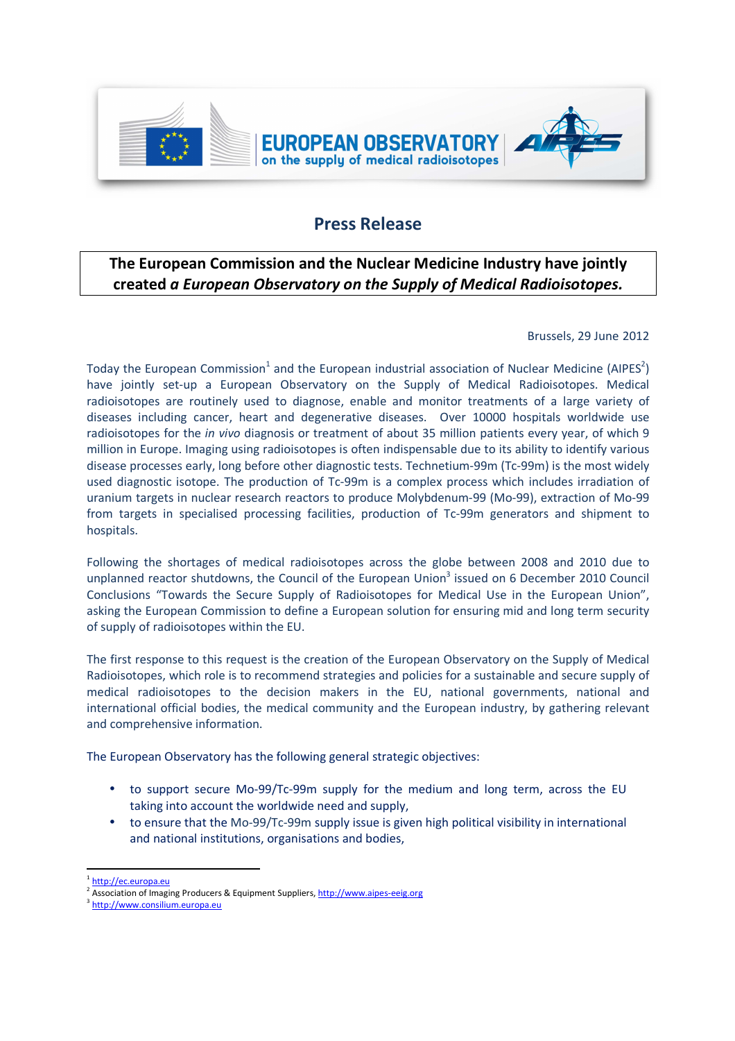

## **Press Release**

## **The European Commission and the Nuclear Medicine Industry have jointly created** *a European Observatory on the Supply of Medical Radioisotopes.*

## Brussels, 29 June 2012

Today the European Commission<sup>1</sup> and the European industrial association of Nuclear Medicine (AIPES<sup>2</sup>) have jointly set-up a European Observatory on the Supply of Medical Radioisotopes. Medical radioisotopes are routinely used to diagnose, enable and monitor treatments of a large variety of diseases including cancer, heart and degenerative diseases. Over 10000 hospitals worldwide use radioisotopes for the *in vivo* diagnosis or treatment of about 35 million patients every year, of which 9 million in Europe. Imaging using radioisotopes is often indispensable due to its ability to identify various disease processes early, long before other diagnostic tests. Technetium-99m (Tc-99m) is the most widely used diagnostic isotope. The production of Tc-99m is a complex process which includes irradiation of uranium targets in nuclear research reactors to produce Molybdenum-99 (Mo-99), extraction of Mo-99 from targets in specialised processing facilities, production of Tc-99m generators and shipment to hospitals.

Following the shortages of medical radioisotopes across the globe between 2008 and 2010 due to unplanned reactor shutdowns, the Council of the European Union<sup>3</sup> issued on 6 December 2010 Council Conclusions "Towards the Secure Supply of Radioisotopes for Medical Use in the European Union", asking the European Commission to define a European solution for ensuring mid and long term security of supply of radioisotopes within the EU.

The first response to this request is the creation of the European Observatory on the Supply of Medical Radioisotopes, which role is to recommend strategies and policies for a sustainable and secure supply of medical radioisotopes to the decision makers in the EU, national governments, national and international official bodies, the medical community and the European industry, by gathering relevant and comprehensive information.

The European Observatory has the following general strategic objectives:

- to support secure Mo-99/Tc-99m supply for the medium and long term, across the EU taking into account the worldwide need and supply,
- to ensure that the Mo-99/Tc-99m supply issue is given high political visibility in international and national institutions, organisations and bodies,

 $\overline{\phantom{0}}$ 

<sup>&</sup>lt;sup>1</sup> http://ec.europa.eu

<sup>&</sup>lt;sup>2</sup> Association of Imaging Producers & Equipment Suppliers, http://www.aipes-eeig.org

<sup>&</sup>lt;sup>3</sup> http://www.consilium.europa.eu